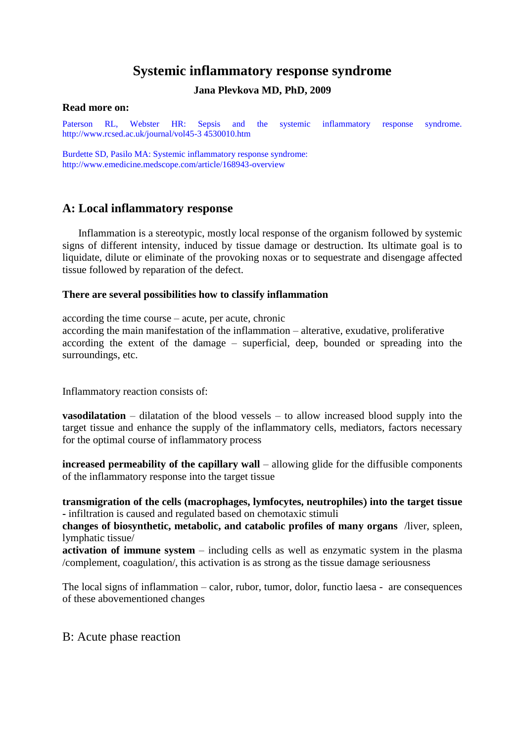# **Systemic inflammatory response syndrome**

## **Jana Plevkova MD, PhD, 2009**

#### **Read more on:**

Paterson RL, Webster HR: Sepsis and the systemic inflammatory response syndrome. <http://www.rcsed.ac.uk/journal/vol45-3> 4530010.htm

Burdette SD, Pasilo MA: Systemic inflammatory response syndrome: <http://www.emedicine.medscope.com/article/168943-overview>

## **A: Local inflammatory response**

Inflammation is a stereotypic, mostly local response of the organism followed by systemic signs of different intensity, induced by tissue damage or destruction. Its ultimate goal is to liquidate, dilute or eliminate of the provoking noxas or to sequestrate and disengage affected tissue followed by reparation of the defect.

#### **There are several possibilities how to classify inflammation**

according the time course – acute, per acute, chronic

according the main manifestation of the inflammation – alterative, exudative, proliferative according the extent of the damage – superficial, deep, bounded or spreading into the surroundings, etc.

Inflammatory reaction consists of:

**vasodilatation** – dilatation of the blood vessels – to allow increased blood supply into the target tissue and enhance the supply of the inflammatory cells, mediators, factors necessary for the optimal course of inflammatory process

**increased permeability of the capillary wall** – allowing glide for the diffusible components of the inflammatory response into the target tissue

**transmigration of the cells (macrophages, lymfocytes, neutrophiles into the target tissue -** infiltration is caused and regulated based on chemotaxic stimuli

**changes of biosynthetic, metabolic, and catabolic profiles of many organs** /liver, spleen, lymphatic tissue/

**activation of immune system** – including cells as well as enzymatic system in the plasma /complement, coagulation/, this activation is as strong as the tissue damage seriousness

The local signs of inflammation – calor, rubor, tumor, dolor, functio laesa - are consequences of these abovementioned changes

B: Acute phase reaction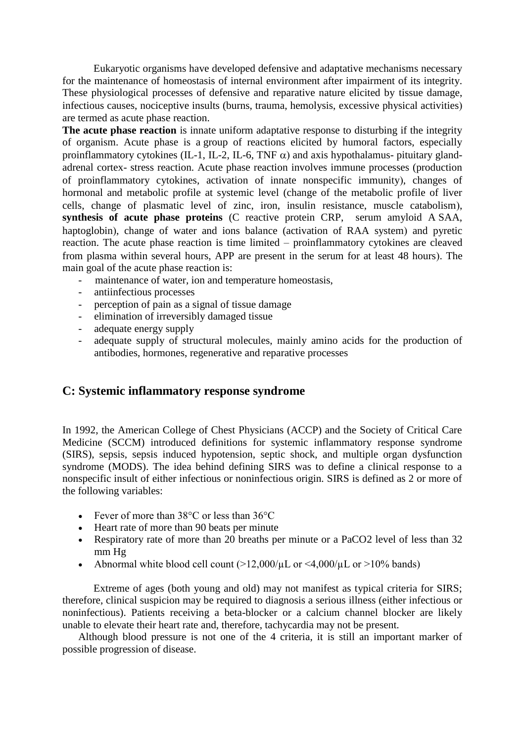Eukaryotic organisms have developed defensive and adaptative mechanisms necessary for the maintenance of homeostasis of internal environment after impairment of its integrity. These physiological processes of defensive and reparative nature elicited by tissue damage, infectious causes, nociceptive insults (burns, trauma, hemolysis, excessive physical activities are termed as acute phase reaction.

**The acute phase reaction** is innate uniform adaptative response to disturbing if the integrity of organism. Acute phase is a group of reactions elicited by humoral factors, especially proinflammatory cytokines (IL-1, IL-2, IL-6, TNF  $\alpha$ ) and axis hypothalamus- pituitary glandadrenal cortex- stress reaction. Acute phase reaction involves immune processes (production of proinflammatory cytokines, activation of innate nonspecific immunity, changes of hormonal and metabolic profile at systemic level (change of the metabolic profile of liver cells, change of plasmatic level of zinc, iron, insulin resistance, muscle catabolism, **synthesis of acute phase proteins** (C reactive protein CRP, serum amyloid A SAA, haptoglobin), change of water and ions balance (activation of RAA system) and pyretic reaction. The acute phase reaction is time limited – proinflammatory cytokines are cleaved from plasma within several hours, APP are present in the serum for at least 48 hours. The main goal of the acute phase reaction is:

- maintenance of water, ion and temperature homeostasis,
- antiinfectious processes
- perception of pain as a signal of tissue damage
- elimination of irreversibly damaged tissue
- adequate energy supply
- adequate supply of structural molecules, mainly amino acids for the production of antibodies, hormones, regenerative and reparative processes

## **C: Systemic inflammatory response syndrome**

In 1992, the American College of Chest Physicians (ACCP) and the Society of Critical Care Medicine (SCCM) introduced definitions for systemic inflammatory response syndrome (SIRS), sepsis, sepsis induced hypotension, septic shock, and multiple organ dysfunction syndrome (MODS). The idea behind defining SIRS was to define a clinical response to a nonspecific insult of either infectious or noninfectious origin. SIRS is defined as 2 or more of the following variables:

- Fever of more than 38°C or less than 36°C
- Heart rate of more than 90 beats per minute
- Respiratory rate of more than 20 breaths per minute or a PaCO2 level of less than 32 mm Hg
- Abnormal white blood cell count  $(>12,000/\mu L)$  or  $\leq 4,000/\mu L$  or  $>10\%$  bands)

Extreme of ages (both young and old) may not manifest as typical criteria for SIRS; therefore, clinical suspicion may be required to diagnosis a serious illness (either infectious or noninfectious). Patients receiving a beta-blocker or a calcium channel blocker are likely unable to elevate their heart rate and, therefore, tachycardia may not be present.

Although blood pressure is not one of the 4 criteria, it is still an important marker of possible progression of disease.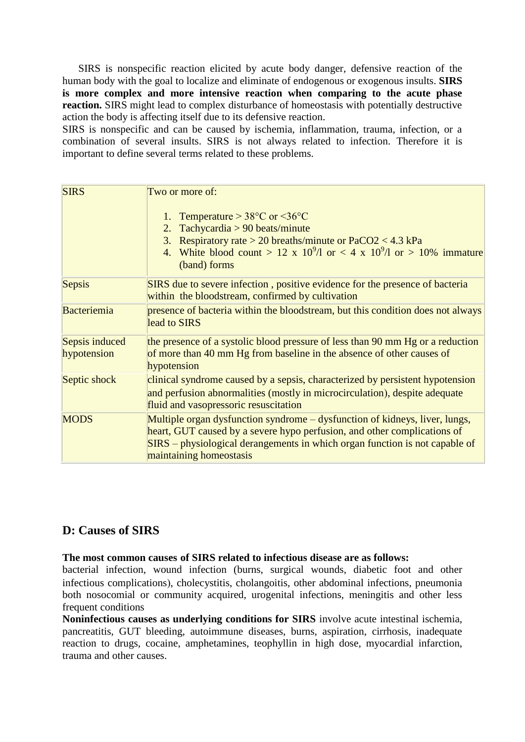SIRS is nonspecific reaction elicited by acute body danger, defensive reaction of the human body with the goal to localize and eliminate of endogenous or exogenous insults. **SIRS is more complex and more intensive reaction when comparing to the acute phase reaction.** SIRS might lead to complex disturbance of homeostasis with potentially destructive action the body is affecting itself due to its defensive reaction.

SIRS is nonspecific and can be caused by ischemia, inflammation, trauma, infection, or a combination of several insults. SIRS is not always related to infection. Therefore it is important to define several terms related to these problems.

| <b>SIRS</b>    | Two or more of:                                                                                                                  |
|----------------|----------------------------------------------------------------------------------------------------------------------------------|
|                | Temperature $> 38^{\circ}$ C or $< 36^{\circ}$ C                                                                                 |
|                | Tachycardia $> 90$ beats/minute<br>2.                                                                                            |
|                | Respiratory rate > 20 breaths/minute or $PaCO2 < 4.3$ kPa<br>3.                                                                  |
|                | White blood count > 12 x 10 <sup>9</sup> /l or < 4 x 10 <sup>9</sup> /l or > 10% immature<br>4.<br>(band) forms                  |
| Sepsis         | SIRS due to severe infection, positive evidence for the presence of bacteria<br>within the bloodstream, confirmed by cultivation |
| Bacteriemia    | presence of bacteria within the bloodstream, but this condition does not always<br>lead to SIRS                                  |
| Sepsis induced | the presence of a systolic blood pressure of less than 90 mm Hg or a reduction                                                   |
| hypotension    | of more than 40 mm Hg from baseline in the absence of other causes of<br>hypotension                                             |
| Septic shock   | clinical syndrome caused by a sepsis, characterized by persistent hypotension                                                    |
|                | and perfusion abnormalities (mostly in microcirculation), despite adequate<br>fluid and vasopressoric resuscitation              |
| <b>MODS</b>    | Multiple organ dysfunction syndrome – dysfunction of kidneys, liver, lungs,                                                      |
|                | heart, GUT caused by a severe hypo perfusion, and other complications of                                                         |
|                | SIRS – physiological derangements in which organ function is not capable of<br>maintaining homeostasis                           |

## **D: Causes of SIRS**

#### **The most common causes of SIRS related to infectious disease are as follows:**

bacterial infection, wound infection (burns, surgical wounds, diabetic foot and other infectious complications, cholecystitis, cholangoitis, other abdominal infections, pneumonia both nosocomial or community acquired, urogenital infections, meningitis and other less frequent conditions

**Noninfectious causes as underlying conditions for SIRS** involve acute intestinal ischemia, pancreatitis, GUT bleeding, autoimmune diseases, burns, aspiration, cirrhosis, inadequate reaction to drugs, cocaine, amphetamines, teophyllin in high dose, myocardial infarction, trauma and other causes.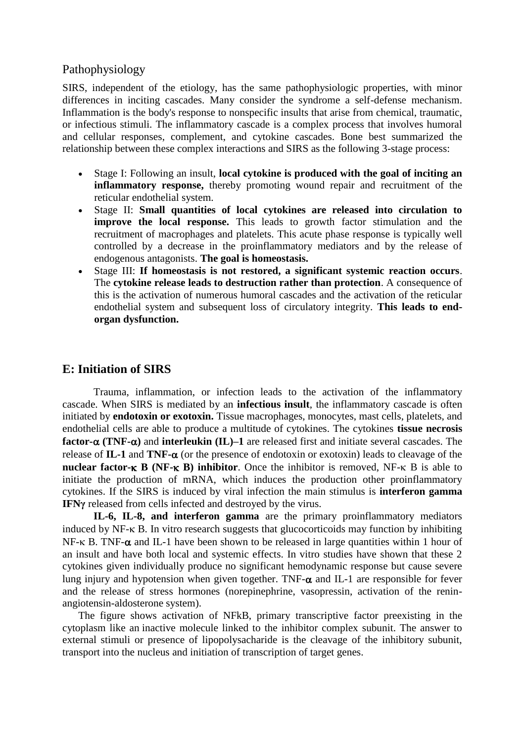## Pathophysiology

SIRS, independent of the etiology, has the same pathophysiologic properties, with minor differences in inciting cascades. Many consider the syndrome a self-defense mechanism. Inflammation is the body's response to nonspecific insults that arise from chemical, traumatic, or infectious stimuli. The inflammatory cascade is a complex process that involves humoral and cellular responses, complement, and cytokine cascades. Bone best summarized the relationship between these complex interactions and SIRS as the following 3-stage process:

- Stage I: Following an insult, **local cytokine is produced with the goal of inciting an inflammatory response,** thereby promoting wound repair and recruitment of the reticular endothelial system.
- Stage II: **Small quantities of local cytokines are released into circulation to improve the local response.** This leads to growth factor stimulation and the recruitment of macrophages and platelets. This acute phase response is typically well controlled by a decrease in the proinflammatory mediators and by the release of endogenous antagonists. **The goal is homeostasis.**
- Stage III: **If homeostasis is not restored, a significant systemic reaction occurs**. The **cytokine release leads to destruction rather than protection**. A consequence of this is the activation of numerous humoral cascades and the activation of the reticular endothelial system and subsequent loss of circulatory integrity. **This leads to endorgan dysfunction.**

## **E: Initiation of SIRS**

Trauma, inflammation, or infection leads to the activation of the inflammatory cascade. When SIRS is mediated by an **infectious insult**, the inflammatory cascade is often initiated by **endotoxin or exotoxin.** Tissue macrophages, monocytes, mast cells, platelets, and endothelial cells are able to produce a multitude of cytokines. The cytokines **tissue necrosis factor-** $\alpha$  **(TNF-** $\alpha$ **)** and **interleukin** (IL)–1 are released first and initiate several cascades. The release of  $IL-1$  and  $TNF-\alpha$  (or the presence of endotoxin or exotoxin) leads to cleavage of the **nuclear factor-** $\kappa$  **B (NF-** $\kappa$  **B) inhibitor**. Once the inhibitor is removed, NF- $\kappa$  B is able to initiate the production of mRNA, which induces the production other proinflammatory cytokines. If the SIRS is induced by viral infection the main stimulus is **interferon gamma IFN<sub>Y</sub>** released from cells infected and destroyed by the virus.

**IL-6, IL-8, and interferon gamma** are the primary proinflammatory mediators induced by  $NF - K B$ . In vitro research suggests that glucocorticoids may function by inhibiting NF- $\kappa$  B. TNF- $\alpha$  and IL-1 have been shown to be released in large quantities within 1 hour of an insult and have both local and systemic effects. In vitro studies have shown that these 2 cytokines given individually produce no significant hemodynamic response but cause severe lung injury and hypotension when given together. TNF- $\alpha$  and IL-1 are responsible for fever and the release of stress hormones (norepinephrine, vasopressin, activation of the reninangiotensin-aldosterone system).

The figure shows activation of NFkB, primary transcriptive factor preexisting in the cytoplasm like an inactive molecule linked to the inhibitor complex subunit. The answer to external stimuli or presence of lipopolysacharide is the cleavage of the inhibitory subunit, transport into the nucleus and initiation of transcription of target genes.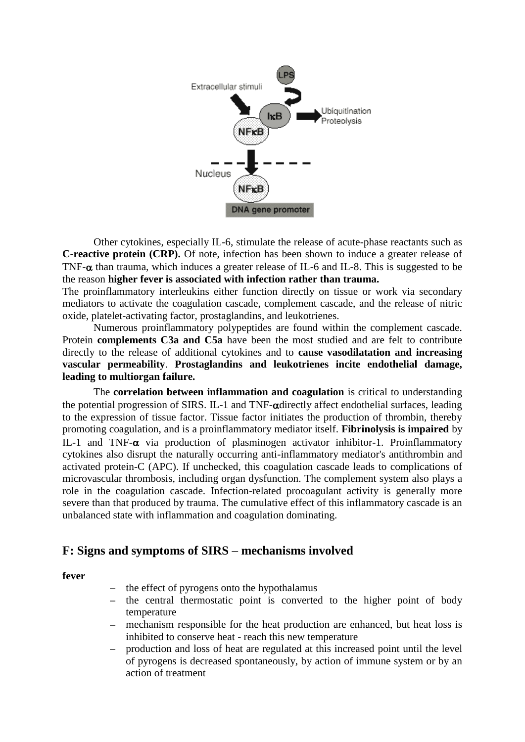

Other cytokines, especially IL-6, stimulate the release of acute-phase reactants such as **C-reactive protein (CRP).** Of note, infection has been shown to induce a greater release of TNF- $\alpha$  than trauma, which induces a greater release of IL-6 and IL-8. This is suggested to be the reason **higher fever is associated with infection rather than trauma.**

The proinflammatory interleukins either function directly on tissue or work via secondary mediators to activate the coagulation cascade, complement cascade, and the release of nitric oxide, platelet-activating factor, prostaglandins, and leukotrienes.

Numerous proinflammatory polypeptides are found within the complement cascade. Protein **complements C3a and C5a** have been the most studied and are felt to contribute directly to the release of additional cytokines and to **cause vasodilatation and increasing vascular permeability**. **Prostaglandins and leukotrienes incite endothelial damage, leading to multiorgan failure.**

The **correlation between inflammation and coagulation** is critical to understanding the potential progression of SIRS. IL-1 and TNF- $\alpha$ directly affect endothelial surfaces, leading to the expression of tissue factor. Tissue factor initiates the production of thrombin, thereby promoting coagulation, and is a proinflammatory mediator itself. **Fibrinolysis is impaired** by IL-1 and TNF- $\alpha$  via production of plasminogen activator inhibitor-1. Proinflammatory cytokines also disrupt the naturally occurring anti-inflammatory mediator's antithrombin and activated protein-C (APC). If unchecked, this coagulation cascade leads to complications of microvascular thrombosis, including organ dysfunction. The complement system also plays a role in the coagulation cascade. Infection-related procoagulant activity is generally more severe than that produced by trauma. The cumulative effect of this inflammatory cascade is an unbalanced state with inflammation and coagulation dominating.

## **F: Signs and symptoms of SIRS – mechanisms involved**

**fever**

- **–** the effect of pyrogens onto the hypothalamus
- **–** the central thermostatic point is converted to the higher point of body temperature
- **–** mechanism responsible for the heat production are enhanced, but heat loss is inhibited to conserve heat - reach this new temperature
- **–** production and loss of heat are regulated at this increased point until the level of pyrogens is decreased spontaneously, by action of immune system or by an action of treatment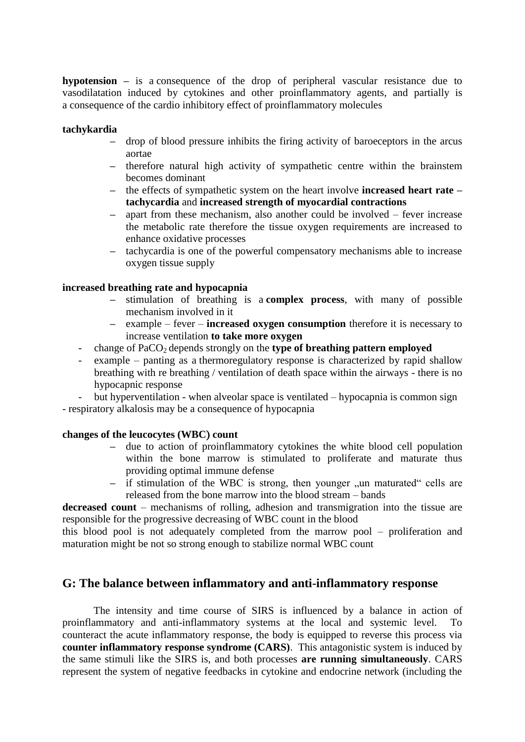**hypotension –** is a consequence of the drop of peripheral vascular resistance due to vasodilatation induced by cytokines and other proinflammatory agents, and partially is a consequence of the cardio inhibitory effect of proinflammatory molecules

#### **tachykardia**

- **–** drop of blood pressure inhibits the firing activity of baroeceptors in the arcus aortae
- **–** therefore natural high activity of sympathetic centre within the brainstem becomes dominant
- **–** the effects of sympathetic system on the heart involve **increased heart rate – tachycardia** and **increased strength of myocardial contractions**
- **–** apart from these mechanism, also another could be involved fever increase the metabolic rate therefore the tissue oxygen requirements are increased to enhance oxidative processes
- **–** tachycardia is one of the powerful compensatory mechanisms able to increase oxygen tissue supply

#### **increased breathing rate and hypocapnia**

- **–** stimulation of breathing is a **complex process**, with many of possible mechanism involved in it
- **–** example fever **increased oxygen consumption** therefore it is necessary to increase ventilation **to take more oxygen**
- change of PaCO<sub>2</sub> depends strongly on the **type of breathing pattern employed**
- example panting as a thermoregulatory response is characterized by rapid shallow breathing with re breathing / ventilation of death space within the airways - there is no hypocapnic response
- but hyperventilation when alveolar space is ventilated hypocapnia is common sign
- respiratory alkalosis may be a consequence of hypocapnia

#### **changes of the leucocytes (WBC count**

- **–** due to action of proinflammatory cytokines the white blood cell population within the bone marrow is stimulated to proliferate and maturate thus providing optimal immune defense
- if stimulation of the WBC is strong, then younger ,,un maturated cells are released from the bone marrow into the blood stream – bands

**decreased count** – mechanisms of rolling, adhesion and transmigration into the tissue are responsible for the progressive decreasing of WBC count in the blood

this blood pool is not adequately completed from the marrow pool – proliferation and maturation might be not so strong enough to stabilize normal WBC count

## **G: The balance between inflammatory and anti-inflammatory response**

The intensity and time course of SIRS is influenced by a balance in action of proinflammatory and anti-inflammatory systems at the local and systemic level. To counteract the acute inflammatory response, the body is equipped to reverse this process via **counter inflammatory response syndrome (CARS)**. This antagonistic system is induced by the same stimuli like the SIRS is, and both processes **are running simultaneously**. CARS represent the system of negative feedbacks in cytokine and endocrine network (including the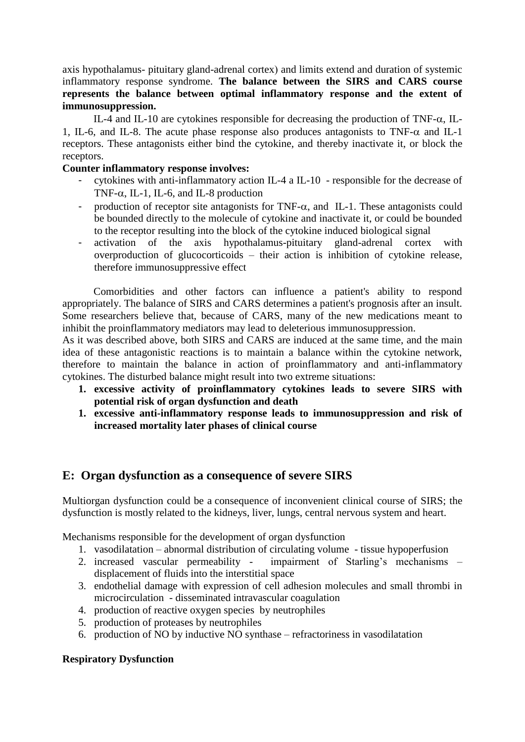axis hypothalamus- pituitary gland-adrenal cortex) and limits extend and duration of systemic inflammatory response syndrome. **The balance between the SIRS and CARS course represents the balance between optimal inflammatory response and the extent of immunosuppression.** 

IL-4 and IL-10 are cytokines responsible for decreasing the production of TNF- $\alpha$ , IL-1, IL-6, and IL-8. The acute phase response also produces antagonists to TNF- $\alpha$  and IL-1 receptors. These antagonists either bind the cytokine, and thereby inactivate it, or block the receptors.

## **Counter inflammatory response involves:**

- cytokines with anti-inflammatory action IL-4 a IL-10 responsible for the decrease of TNF- $\alpha$ , IL-1, IL-6, and IL-8 production
- production of receptor site antagonists for TNF- $\alpha$ , and IL-1. These antagonists could be bounded directly to the molecule of cytokine and inactivate it, or could be bounded to the receptor resulting into the block of the cytokine induced biological signal
- activation of the axis hypothalamus-pituitary gland-adrenal cortex with overproduction of glucocorticoids – their action is inhibition of cytokine release, therefore immunosuppressive effect

Comorbidities and other factors can influence a patient's ability to respond appropriately. The balance of SIRS and CARS determines a patient's prognosis after an insult. Some researchers believe that, because of CARS, many of the new medications meant to inhibit the proinflammatory mediators may lead to deleterious immunosuppression.

As it was described above, both SIRS and CARS are induced at the same time, and the main idea of these antagonistic reactions is to maintain a balance within the cytokine network, therefore to maintain the balance in action of proinflammatory and anti-inflammatory cytokines. The disturbed balance might result into two extreme situations:

- **1. excessive activity of proinflammatory cytokines leads to severe SIRS with potential risk of organ dysfunction and death**
- **1. excessive anti-inflammatory response leads to immunosuppression and risk of increased mortality later phases of clinical course**

# **E: Organ dysfunction as a consequence of severe SIRS**

Multiorgan dysfunction could be a consequence of inconvenient clinical course of SIRS; the dysfunction is mostly related to the kidneys, liver, lungs, central nervous system and heart.

Mechanisms responsible for the development of organ dysfunction

- 1. vasodilatation abnormal distribution of circulating volume tissue hypoperfusion
- 2. increased vascular permeability impairment of Starling's mechanisms displacement of fluids into the interstitial space
- 3. endothelial damage with expression of cell adhesion molecules and small thrombi in microcirculation - disseminated intravascular coagulation
- 4. production of reactive oxygen species by neutrophiles
- 5. production of proteases by neutrophiles
- 6. production of NO by inductive NO synthase refractoriness in vasodilatation

## **Respiratory Dysfunction**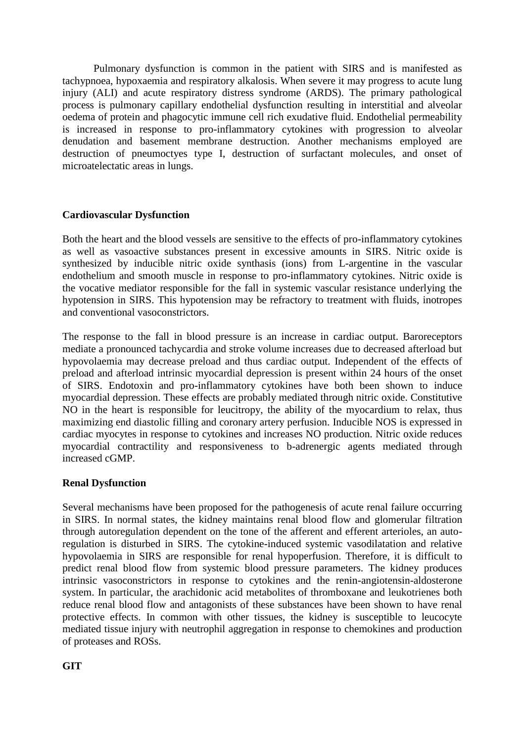Pulmonary dysfunction is common in the patient with SIRS and is manifested as tachypnoea, hypoxaemia and respiratory alkalosis. When severe it may progress to acute lung injury (ALI) and acute respiratory distress syndrome (ARDS). The primary pathological process is pulmonary capillary endothelial dysfunction resulting in interstitial and alveolar oedema of protein and phagocytic immune cell rich exudative fluid. Endothelial permeability is increased in response to pro-inflammatory cytokines with progression to alveolar denudation and basement membrane destruction. Another mechanisms employed are destruction of pneumoctyes type I, destruction of surfactant molecules, and onset of microatelectatic areas in lungs.

## **Cardiovascular Dysfunction**

Both the heart and the blood vessels are sensitive to the effects of pro-inflammatory cytokines as well as vasoactive substances present in excessive amounts in SIRS. Nitric oxide is synthesized by inducible nitric oxide synthasis (ions) from L-argentine in the vascular endothelium and smooth muscle in response to pro-inflammatory cytokines. Nitric oxide is the vocative mediator responsible for the fall in systemic vascular resistance underlying the hypotension in SIRS. This hypotension may be refractory to treatment with fluids, inotropes and conventional vasoconstrictors.

The response to the fall in blood pressure is an increase in cardiac output. Baroreceptors mediate a pronounced tachycardia and stroke volume increases due to decreased afterload but hypovolaemia may decrease preload and thus cardiac output. Independent of the effects of preload and afterload intrinsic myocardial depression is present within 24 hours of the onset of SIRS. Endotoxin and pro-inflammatory cytokines have both been shown to induce myocardial depression. These effects are probably mediated through nitric oxide. Constitutive NO in the heart is responsible for leucitropy, the ability of the myocardium to relax, thus maximizing end diastolic filling and coronary artery perfusion. Inducible NOS is expressed in cardiac myocytes in response to cytokines and increases NO production. Nitric oxide reduces myocardial contractility and responsiveness to b-adrenergic agents mediated through increased cGMP.

#### **Renal Dysfunction**

Several mechanisms have been proposed for the pathogenesis of acute renal failure occurring in SIRS. In normal states, the kidney maintains renal blood flow and glomerular filtration through autoregulation dependent on the tone of the afferent and efferent arterioles, an autoregulation is disturbed in SIRS. The cytokine-induced systemic vasodilatation and relative hypovolaemia in SIRS are responsible for renal hypoperfusion. Therefore, it is difficult to predict renal blood flow from systemic blood pressure parameters. The kidney produces intrinsic vasoconstrictors in response to cytokines and the renin-angiotensin-aldosterone system. In particular, the arachidonic acid metabolites of thromboxane and leukotrienes both reduce renal blood flow and antagonists of these substances have been shown to have renal protective effects. In common with other tissues, the kidney is susceptible to leucocyte mediated tissue injury with neutrophil aggregation in response to chemokines and production of proteases and ROSs.